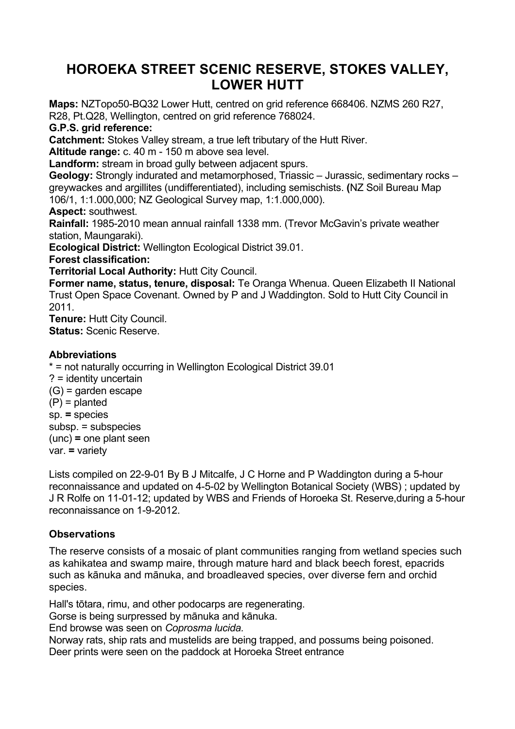## **HOROEKA STREET SCENIC RESERVE, STOKES VALLEY, LOWER HUTT**

**Maps:** NZTopo50-BQ32 Lower Hutt, centred on grid reference 668406. NZMS 260 R27, R28, Pt.Q28, Wellington, centred on grid reference 768024.

## **G.P.S. grid reference:**

**Catchment:** Stokes Valley stream, a true left tributary of the Hutt River.

**Altitude range:** c. 40 m - 150 m above sea level.

**Landform:** stream in broad gully between adjacent spurs.

**Geology:** Strongly indurated and metamorphosed, Triassic – Jurassic, sedimentary rocks – greywackes and argillites (undifferentiated), including semischists. **(**NZ Soil Bureau Map 106/1, 1:1.000,000; NZ Geological Survey map, 1:1.000,000).

## **Aspect:** southwest.

**Rainfall:** 1985-2010 mean annual rainfall 1338 mm. (Trevor McGavin's private weather station, Maungaraki).

**Ecological District:** Wellington Ecological District 39.01.

**Forest classification:**

**Territorial Local Authority:** Hutt City Council.

**Former name, status, tenure, disposal:** Te Oranga Whenua. Queen Elizabeth II National Trust Open Space Covenant. Owned by P and J Waddington. Sold to Hutt City Council in 2011.

**Tenure:** Hutt City Council. **Status:** Scenic Reserve.

## **Abbreviations**

\* = not naturally occurring in Wellington Ecological District 39.01 ? = identity uncertain (G) = garden escape (P) = planted sp. **=** species subsp. = subspecies (unc) **=** one plant seen var. **=** variety

Lists compiled on 22-9-01 By B J Mitcalfe, J C Horne and P Waddington during a 5-hour reconnaissance and updated on 4-5-02 by Wellington Botanical Society (WBS) ; updated by J R Rolfe on 11-01-12; updated by WBS and Friends of Horoeka St. Reserve,during a 5-hour reconnaissance on 1-9-2012.

## **Observations**

The reserve consists of a mosaic of plant communities ranging from wetland species such as kahikatea and swamp maire, through mature hard and black beech forest, epacrids such as kānuka and mānuka, and broadleaved species, over diverse fern and orchid species.

Hall's tōtara, rimu, and other podocarps are regenerating.

Gorse is being surpressed by mānuka and kānuka.

End browse was seen on *Coprosma lucida.*

Norway rats, ship rats and mustelids are being trapped, and possums being poisoned. Deer prints were seen on the paddock at Horoeka Street entrance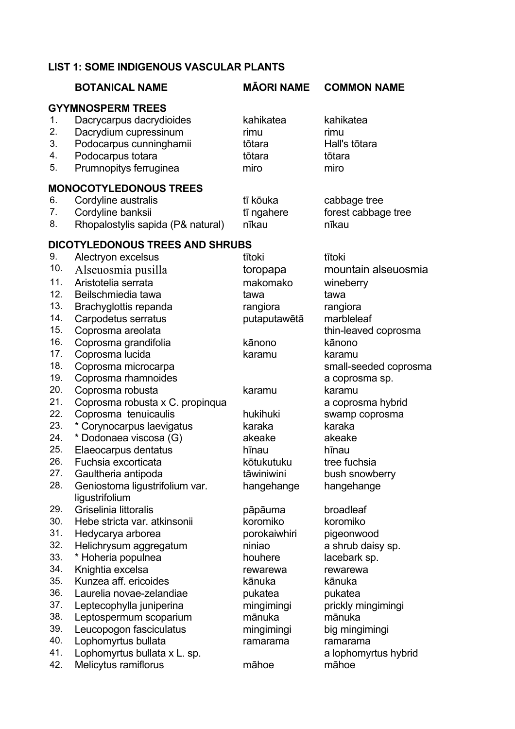## **LIST 1: SOME INDIGENOUS VASCULAR PLANTS**

|            | <b>BOTANICAL NAME</b>                                | <b>MĀORI NAME</b>  | <b>COMMON NAME</b>            |
|------------|------------------------------------------------------|--------------------|-------------------------------|
|            | <b>GYYMNOSPERM TREES</b>                             |                    |                               |
| 1.         | Dacrycarpus dacrydioides                             | kahikatea          | kahikatea                     |
| 2.         | Dacrydium cupressinum                                | rimu               | rimu                          |
| 3.         | Podocarpus cunninghamii                              | tōtara             | Hall's tōtara                 |
| 4.         | Podocarpus totara                                    | tōtara             | tōtara                        |
| 5.         | Prumnopitys ferruginea                               | miro               | miro                          |
|            | <b>MONOCOTYLEDONOUS TREES</b>                        |                    |                               |
| 6.         | Cordyline australis                                  | tī kōuka           | cabbage tree                  |
| 7.         | Cordyline banksii                                    | tī ngahere         | forest cabbage tree           |
| 8.         | Rhopalostylis sapida (P& natural)                    | nīkau              | nīkau                         |
|            | <b>DICOTYLEDONOUS TREES AND SHRUBS</b>               |                    |                               |
| 9.         | Alectryon excelsus                                   | tītoki             | tītoki                        |
| 10.        | Alseuosmia pusilla                                   | toropapa           | mountain alseuosmia           |
| 11.        | Aristotelia serrata                                  | makomako           | wineberry                     |
| 12.        | Beilschmiedia tawa                                   | tawa               | tawa                          |
| 13.        | Brachyglottis repanda                                | rangiora           | rangiora                      |
| 14.        | Carpodetus serratus                                  | putaputawētā       | marbleleaf                    |
| 15.        | Coprosma areolata                                    |                    | thin-leaved coprosma          |
| 16.        | Coprosma grandifolia                                 | kānono             | kānono                        |
| 17.        | Coprosma lucida                                      | karamu             | karamu                        |
| 18.        | Coprosma microcarpa                                  |                    | small-seeded coprosma         |
| 19.        | Coprosma rhamnoides                                  |                    | a coprosma sp.                |
| 20.        | Coprosma robusta                                     | karamu             | karamu                        |
| 21.<br>22. | Coprosma robusta x C. propinqua                      |                    | a coprosma hybrid             |
| 23.        | Coprosma tenuicaulis                                 | hukihuki<br>karaka | swamp coprosma<br>karaka      |
| 24.        | * Corynocarpus laevigatus<br>* Dodonaea viscosa (G)  | akeake             | akeake                        |
| 25.        | Elaeocarpus dentatus                                 | hīnau              | hīnau                         |
| 26.        | Fuchsia excorticata                                  | kōtukutuku         | tree fuchsia                  |
| 27.        | Gaultheria antipoda                                  | tāwiniwini         | bush snowberry                |
| 28.        | Geniostoma ligustrifolium var.                       | hangehange         | hangehange                    |
|            | ligustrifolium                                       |                    |                               |
| 29.        | Griselinia littoralis                                | pāpāuma            | broadleaf                     |
| 30.        | Hebe stricta var. atkinsonii                         | koromiko           | koromiko                      |
| 31.        | Hedycarya arborea                                    | porokaiwhiri       | pigeonwood                    |
| 32.        | Helichrysum aggregatum                               | niniao             | a shrub daisy sp.             |
| 33.        | * Hoheria populnea                                   | houhere            | lacebark sp.                  |
| 34.        | Knightia excelsa                                     | rewarewa           | rewarewa                      |
| 35.        | Kunzea aff. ericoides                                | kānuka             | kānuka                        |
| 36.        | Laurelia novae-zelandiae                             | pukatea            | pukatea                       |
| 37.        | Leptecophylla juniperina                             | mingimingi         | prickly mingimingi            |
| 38.        | Leptospermum scoparium                               | mānuka             | mānuka                        |
| 39.<br>40. | Leucopogon fasciculatus                              | mingimingi         | big mingimingi                |
| 41.        | Lophomyrtus bullata                                  | ramarama           | ramarama                      |
| 42.        | Lophomyrtus bullata x L. sp.<br>Melicytus ramiflorus | māhoe              | a lophomyrtus hybrid<br>māhoe |
|            |                                                      |                    |                               |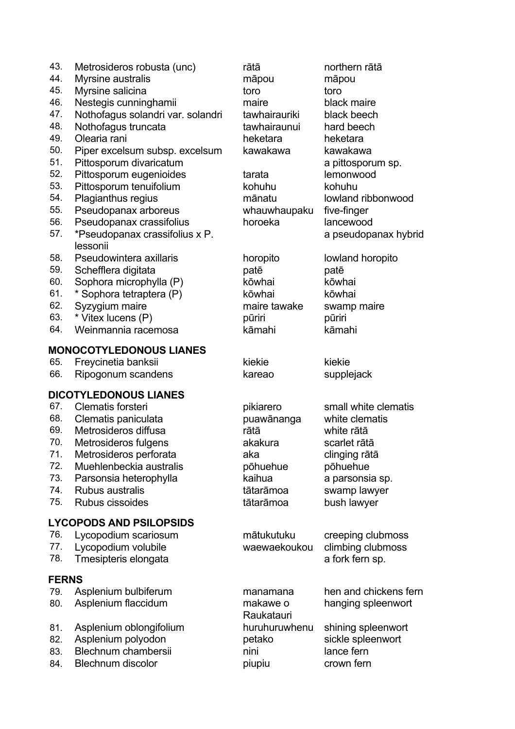- 43. Metrosideros robusta (unc) rātā northern rātā
- 44. Myrsine australis māpou māpou
- 45. Myrsine salicina to toro toro toro toro toro
- 46. Nestegis cunninghamii maire black maire
- 47. Nothofagus solandri var. solandri tawhairauriki black beech
- 48. Nothofagus truncata tawhairaunui hard beech
- 
- 50. Piper excelsum subsp. excelsum kawakawa kawakawa
- 51. Pittosporum divaricatum a pittosporum sp.
- 52. Pittosporum eugenioides tarata lemonwood
- 53. Pittosporum tenuifolium kohuhu kohuhu kohuhu
- 54. Plagianthus regius mānatu lowland ribbonwood
- 55. Pseudopanax arboreus whauwhaupaku five-finger
- 56. Pseudopanax crassifolius horoeka lancewood
- 57. \*Pseudopanax crassifolius x P. lessonii
- 58. Pseudowintera axillaris horopito lowland horopito
- 59. Schefflera digitata patē patē
- 60. Sophora microphylla (P) kōwhai kōwhai
- \* Sophora tetraptera (P) kōwhai kōwhai kōwhai
- 62. Syzygium maire maire tawake swamp maire
- 63. \* Vitex lucens (P) pūriri pūriri
- 64. Weinmannia racemosa kāmahi kāmahi

#### **MONOCOTYLEDONOUS LIANES**

- 65. Freycinetia banksii kiekie kiekie kiekie
- 66. Ripogonum scandens kareao supplejack

#### **DICOTYLEDONOUS LIANES**

- 67. Clematis forsteri pikiarero small white clematis
- 68. Clematis paniculata puawānanga white clematis
- 69. Metrosideros diffusa rātā white rātā
- 70. Metrosideros fulgens akakura scarlet rātā
- 71. Metrosideros perforata aka clinging rātā
- 72. Muehlenbeckia australis pōhuehue pōhuehue
- 73. Parsonsia heterophylla kaihua a parsonsia sp.
- 74. Rubus australis tātarāmoa swamp lawyer
- 75. Rubus cissoides tātarāmoa bush lawyer

## **LYCOPODS AND PSILOPSIDS**

- 76. Lycopodium scariosum mātukutuku creeping clubmoss
- 77. Lycopodium volubile waewaekoukou climbing clubmoss
- 78. Tmesipteris elongata a fork fern sp.

#### **FERNS**

- 79. Asplenium bulbiferum manamana hen and chickens fern
- 80. Asplenium flaccidum makawe o
- 81. Asplenium oblongifolium huruhuruwhenu shining spleenwort
- 82. Asplenium polyodon betako sickle spleenwort
- 83. Blechnum chambersii nini nini lance fern
- 84. Blechnum discolor piupiu piupiu crown fern

49. Olearia rani heketara heketara

a pseudopanax hybrid

Raukatauri

hanging spleenwort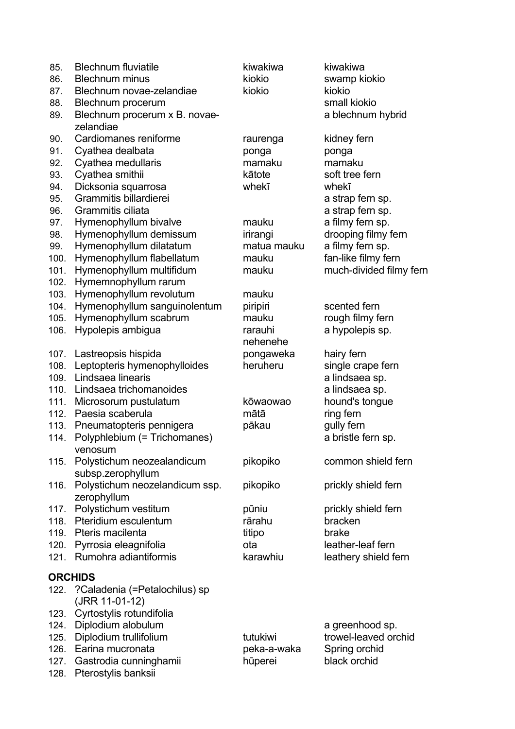| 85.  | <b>Blechnum fluviatile</b>          | kiwakiwa    | kiwakiwa                |
|------|-------------------------------------|-------------|-------------------------|
| 86.  | <b>Blechnum minus</b>               | kiokio      | swamp kiokio            |
| 87.  | Blechnum novae-zelandiae            | kiokio      | kiokio                  |
| 88.  | Blechnum procerum                   |             | small kiokio            |
| 89.  | Blechnum procerum x B. novae-       |             | a blechnum hybrid       |
|      | zelandiae                           |             |                         |
| 90.  | Cardiomanes reniforme               | raurenga    | kidney fern             |
| 91.  | Cyathea dealbata                    | ponga       | ponga                   |
| 92.  | Cyathea medullaris                  | mamaku      | mamaku                  |
| 93.  | Cyathea smithii                     | kātote      | soft tree fern          |
| 94.  | Dicksonia squarrosa                 | whekī       | whekī                   |
| 95.  | Grammitis billardierei              |             | a strap fern sp.        |
| 96.  | Grammitis ciliata                   |             | a strap fern sp.        |
| 97.  | Hymenophyllum bivalve               | mauku       | a filmy fern sp.        |
| 98.  | Hymenophyllum demissum              | irirangi    | drooping filmy fern     |
| 99.  | Hymenophyllum dilatatum             | matua mauku | a filmy fern sp.        |
| 100. | Hymenophyllum flabellatum           | mauku       | fan-like filmy fern     |
| 101. | Hymenophyllum multifidum            | mauku       | much-divided filmy fern |
| 102. | Hymemnophyllum rarum                |             |                         |
| 103. | Hymenophyllum revolutum             | mauku       |                         |
| 104. | Hymenophyllum sanguinolentum        | piripiri    | scented fern            |
| 105. | Hymenophyllum scabrum               | mauku       | rough filmy fern        |
| 106. | Hypolepis ambigua                   | rarauhi     | a hypolepis sp.         |
|      |                                     | nehenehe    |                         |
| 107. | Lastreopsis hispida                 | pongaweka   | hairy fern              |
| 108. | Leptopteris hymenophylloides        | heruheru    | single crape fern       |
| 109. | Lindsaea linearis                   |             | a lindsaea sp.          |
| 110. | Lindsaea trichomanoides             |             | a lindsaea sp.          |
| 111. | Microsorum pustulatum               | kōwaowao    | hound's tongue          |
| 112. | Paesia scaberula                    | mātā        | ring fern               |
| 113. | Pneumatopteris pennigera            | pākau       | gully fern              |
| 114. | Polyphlebium (= Trichomanes)        |             | a bristle fern sp.      |
|      | venosum                             |             |                         |
|      | 115. Polystichum neozealandicum     | pikopiko    | common shield fern      |
|      | subsp.zerophyllum                   |             |                         |
| 116. | Polystichum neozelandicum ssp.      | pikopiko    | prickly shield fern     |
|      | zerophyllum                         |             |                         |
| 117. | Polystichum vestitum                | pūniu       | prickly shield fern     |
| 118. | Pteridium esculentum                | rārahu      | bracken                 |
|      | 119. Pteris macilenta               | titipo      | brake                   |
| 120. | Pyrrosia eleagnifolia               | ota         | leather-leaf fern       |
| 121. | Rumohra adiantiformis               | karawhiu    | leathery shield fern    |
|      |                                     |             |                         |
|      | <b>ORCHIDS</b>                      |             |                         |
|      | 122. ? Caladenia (=Petalochilus) sp |             |                         |
|      | (JRR 11-01-12)                      |             |                         |
| 123. | Cyrtostylis rotundifolia            |             |                         |
| 124. | Diplodium alobulum                  |             | a greenhood sp.         |
| 125. | Diplodium trullifolium              | tutukiwi    | trowel-leaved orchid    |
| 126. | Earina mucronata                    | peka-a-waka | Spring orchid           |
| 127. | Gastrodia cunninghamii              | hūperei     | black orchid            |
| 128. | Pterostylis banksii                 |             |                         |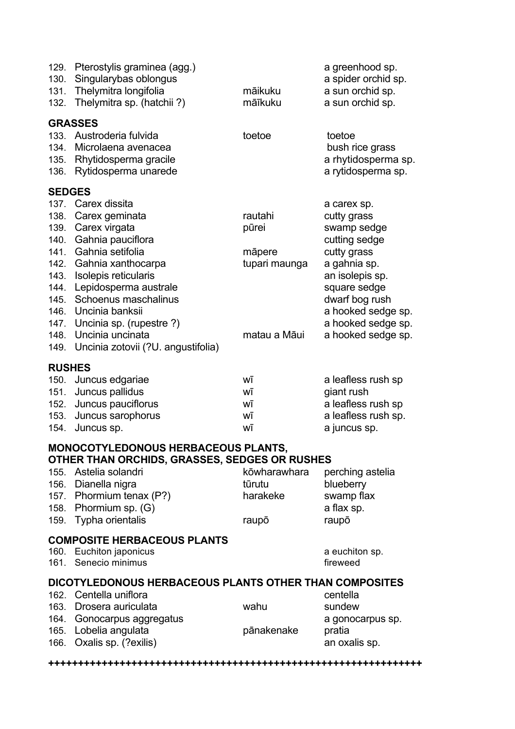| 129.<br>130.<br>131.<br>132. | Pterostylis graminea (agg.)<br>Singularybas oblongus<br>Thelymitra longifolia<br>Thelymitra sp. (hatchii?) | māikuku<br>māīkuku | a greenhood sp.<br>a spider orchid sp.<br>a sun orchid sp.<br>a sun orchid sp. |
|------------------------------|------------------------------------------------------------------------------------------------------------|--------------------|--------------------------------------------------------------------------------|
| 133.<br>134.                 | <b>GRASSES</b><br>Austroderia fulvida<br>Microlaena avenacea                                               | toetoe             | toetoe                                                                         |
| 135.<br>136.                 | Rhytidosperma gracile<br>Rytidosperma unarede                                                              |                    | bush rice grass<br>a rhytidosperma sp.<br>a rytidosperma sp.                   |
| <b>SEDGES</b>                |                                                                                                            |                    |                                                                                |
|                              | 137. Carex dissita                                                                                         |                    | a carex sp.                                                                    |
| 138.                         | Carex geminata                                                                                             | rautahi            | cutty grass                                                                    |
| 139.                         | Carex virgata                                                                                              | pūrei              | swamp sedge                                                                    |
| 140.                         | Gahnia pauciflora                                                                                          |                    | cutting sedge                                                                  |
| 141.                         | Gahnia setifolia                                                                                           | māpere             | cutty grass                                                                    |
|                              | 142. Gahnia xanthocarpa                                                                                    | tupari maunga      | a gahnia sp.                                                                   |
| 143.                         | Isolepis reticularis                                                                                       |                    | an isolepis sp.                                                                |
| 144.                         | Lepidosperma australe                                                                                      |                    | square sedge                                                                   |
| 145.                         | Schoenus maschalinus                                                                                       |                    | dwarf bog rush                                                                 |
| 146.                         | Uncinia banksii                                                                                            |                    | a hooked sedge sp.                                                             |
|                              | 147. Uncinia sp. (rupestre ?)                                                                              |                    | a hooked sedge sp.                                                             |
| 148.                         | Uncinia uncinata                                                                                           | matau a Māui       | a hooked sedge sp.                                                             |
|                              | 149. Uncinia zotovii (?U. angustifolia)                                                                    |                    |                                                                                |

#### **RUSHES**

| 150. Juncus edgariae    | wī | a leafless rush sp  |
|-------------------------|----|---------------------|
| 151. Juncus pallidus    | wī | giant rush          |
| 152. Juncus pauciflorus | wī | a leafless rush sp  |
| 153. Juncus sarophorus  | WĪ | a leafless rush sp. |
| 154. Juncus sp.         | wī | a juncus sp.        |

#### **MONOCOTYLEDONOUS HERBACEOUS PLANTS, OTHER THAN ORCHIDS, GRASSES, SEDGES OR RUSHES**

|                                    | 155. Astelia solandri    | kōwharawhara | perching astelia |
|------------------------------------|--------------------------|--------------|------------------|
|                                    | 156. Dianella nigra      | tūrutu       | blueberry        |
|                                    | 157. Phormium tenax (P?) | harakeke     | swamp flax       |
|                                    | 158. Phormium sp. (G)    |              | a flax sp.       |
|                                    | 159. Typha orientalis    | raupō        | raupō            |
| <b>COMPOSITE HERBACEOUS PLANTS</b> |                          |              |                  |

## 160. Euchiton japonicus a euchiton sp. 161. Senecio minimus and the sense of the sense of the sense of the sense of the sense of the sense of the sense of the sense of the sense of the sense of the sense of the sense of the sense of the sense of the sense of th **DICOTYLEDONOUS HERBACEOUS PLANTS OTHER THAN COMPOSITES** 162. Centella uniflora centella centella 163. Drosera auriculata wahu wahu sundew 164. Gonocarpus aggregatus a control a gonocarpus sp. 165. Lobelia angulata pasa pānakenake pratia 166. Oxalis sp. (?exilis) an oxalis sp.

**<sup>+++++++++++++++++++++++++++++++++++++++++++++++++++++++++++++++</sup>**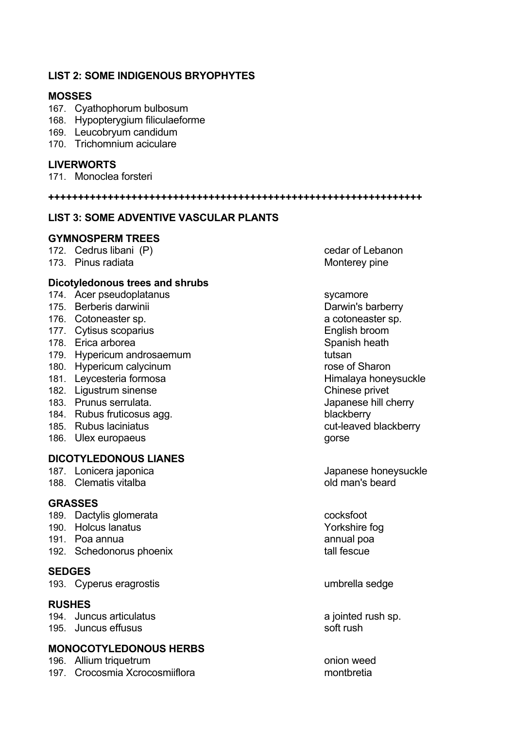## **LIST 2: SOME INDIGENOUS BRYOPHYTES**

#### **MOSSES**

- 167. Cyathophorum bulbosum
- 168. Hypopterygium filiculaeforme
- 169. Leucobryum candidum
- 170. Trichomnium aciculare

#### **LIVERWORTS**

171. Monoclea forsteri

**+++++++++++++++++++++++++++++++++++++++++++++++++++++++++++++++**

## **LIST 3: SOME ADVENTIVE VASCULAR PLANTS**

#### **GYMNOSPERM TREES**

172. Cedrus libani (P) cedar of Lebanon

173. Pinus radiata and a mortuus control of the Monterey pine

#### **Dicotyledonous trees and shrubs**

- 174. Acer pseudoplatanus sycamore
- 175. Berberis darwinii Darwin's barberry
- 176. Cotoneaster sp. a cotoneaster sp. a cotoneaster sp.
- 177. Cytisus scoparius **English broom**
- 178. Erica arborea Spanish heath Spanish heath
- 179. Hypericum androsaemum tutsan
- 180. Hypericum calycinum rose of Sharon
- 181. Leycesteria formosa honeysuckle Himalaya honeysuckle
- 182. Ligustrum sinense Chinese privet
- 183. Prunus serrulata. Japanese hill cherry
- 184. Rubus fruticosus agg. blackberry
- 
- 186. Ulex europaeus gorse gorse

## **DICOTYLEDONOUS LIANES**

- 
- 188. Clematis vitalba old man's beard

#### **GRASSES**

- 189. Dactylis glomerata cocksfoot
- 190. Holcus lanatus Yorkshire fog
- 191. Poa annua annual poa
- 192. Schedonorus phoenix and tall fescue

#### **SEDGES**

193. Cyperus eragrostis umbrella sedge

#### **RUSHES**

194. Juncus articulatus a jointed rush sp. 195. Juncus effusus soft rush

#### **MONOCOTYLEDONOUS HERBS**

196. Allium triquetrum and the state on the control only only only weed 197. Crocosmia Xcrocosmiiflora montbretia

185. Rubus laciniatus cut-leaved blackberry

187. Lonicera japonica internasional subset of the Japanese honeysuckle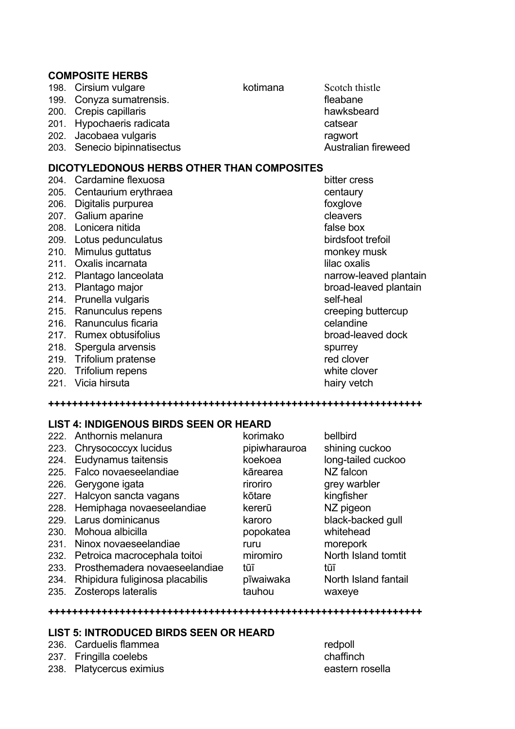#### **COMPOSITE HERBS**

198. Cirsium vulgare **Kotimana** Scotch thistle

199. Conyza sumatrensis. The same of the state of the state of the state of the state of the state of the state of the state of the state of the state of the state of the state of the state of the state of the state of the

- 
- 201. Hypochaeris radicata catsear catsear
- 202. Jacobaea vulgaris ragwort
- 203. Senecio bipinnatisectus and announced australian fireweed

## **DICOTYLEDONOUS HERBS OTHER THAN COMPOSITES**

- 204. Cardamine flexuosa bitter cress 205. Centaurium erythraea centaury centaury 206. Digitalis purpurea foxal exercise to the foxal over the foxal over the foxal over the foxal over the foxal over the foxal over the foxal over the foxal over the foxal over the foxal over the form of the form of the fo 207. Galium aparine cleavers 208. Lonicera nitida false box 209. Lotus pedunculatus birdsfoot trefoil 210. Mimulus guttatus monkey musk 211. Oxalis incarnata lilac oxalis 213. Plantago major broad-leaved plantain 214. Prunella vulgaris self-heal 215. Ranunculus repens creeping buttercup
- 
- 
- 
- 
- 
- 

## 212. Plantago lanceolata narrow-leaved plantain

216. Ranunculus ficaria celandine 217. Rumex obtusifolius broad-leaved dock

- 218. Spergula arvensis spurrey spurrey
- 219. Trifolium pratense red clover
- 220. Trifolium repens white clover
- 221. Vicia hirsuta hairy vetch

#### **LIST 4: INDIGENOUS BIRDS SEEN OR HEARD**

|      | 222. Anthornis melanura            | korimako      | bellbird             |
|------|------------------------------------|---------------|----------------------|
|      | 223. Chrysococcyx lucidus          | pipiwharauroa | shining cuckoo       |
| 224. | Eudynamus taitensis                | koekoea       | long-tailed cuckoo   |
|      | 225. Falco novaeseelandiae         | kārearea      | NZ falcon            |
|      | 226. Gerygone igata                | riroriro      | grey warbler         |
|      | 227. Halcyon sancta vagans         | kōtare        | kingfisher           |
|      | 228. Hemiphaga novaeseelandiae     | kererū        | NZ pigeon            |
|      | 229. Larus dominicanus             | karoro        | black-backed gull    |
| 230. | Mohoua albicilla                   | popokatea     | whitehead            |
| 231. | Ninox novaeseelandiae              | ruru          | morepork             |
|      | 232. Petroica macrocephala toitoi  | miromiro      | North Island tomtit  |
|      | 233. Prosthemadera novaeseelandiae | tūī           | tūī                  |
| 234. | Rhipidura fuliginosa placabilis    | pīwaiwaka     | North Island fantail |
| 235. | Zosterops lateralis                | tauhou        | waxeye               |

**+++++++++++++++++++++++++++++++++++++++++++++++++++++++++++++++**

**+++++++++++++++++++++++++++++++++++++++++++++++++++++++++++++++**

#### **LIST 5: INTRODUCED BIRDS SEEN OR HEARD**

#### 236. Carduelis flammea redpoll

#### 237. Fringilla coelebs chaffinch

238. Platycercus eximius eastern rosella

200. Crepis capillaris hawksbeard